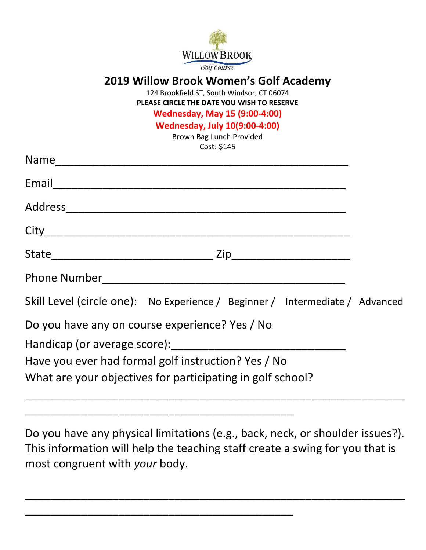

## **2019 Willow Brook Women's Golf Academy**

124 Brookfield ST, South Windsor, CT 06074 **PLEASE CIRCLE THE DATE YOU WISH TO RESERVE**

## **Wednesday, May 15 (9:00-4:00)**

**Wednesday, July 10(9:00-4:00)**

Brown Bag Lunch Provided Cost: \$145

| Skill Level (circle one): No Experience / Beginner / Intermediate / Advanced |  |
|------------------------------------------------------------------------------|--|
| Do you have any on course experience? Yes / No                               |  |
| Have you ever had formal golf instruction? Yes / No                          |  |
| What are your objectives for participating in golf school?                   |  |

Do you have any physical limitations (e.g., back, neck, or shoulder issues?). This information will help the teaching staff create a swing for you that is most congruent with *your* body.

\_\_\_\_\_\_\_\_\_\_\_\_\_\_\_\_\_\_\_\_\_\_\_\_\_\_\_\_\_\_\_\_\_\_\_\_\_\_\_\_\_\_\_\_\_\_\_\_\_\_\_\_\_\_\_\_\_\_\_\_\_

\_\_\_\_\_\_\_\_\_\_\_\_\_\_\_\_\_\_\_\_\_\_\_\_\_\_\_\_\_\_\_\_\_\_\_\_\_\_\_\_\_\_\_

\_\_\_\_\_\_\_\_\_\_\_\_\_\_\_\_\_\_\_\_\_\_\_\_\_\_\_\_\_\_\_\_\_\_\_\_\_\_\_\_\_\_\_